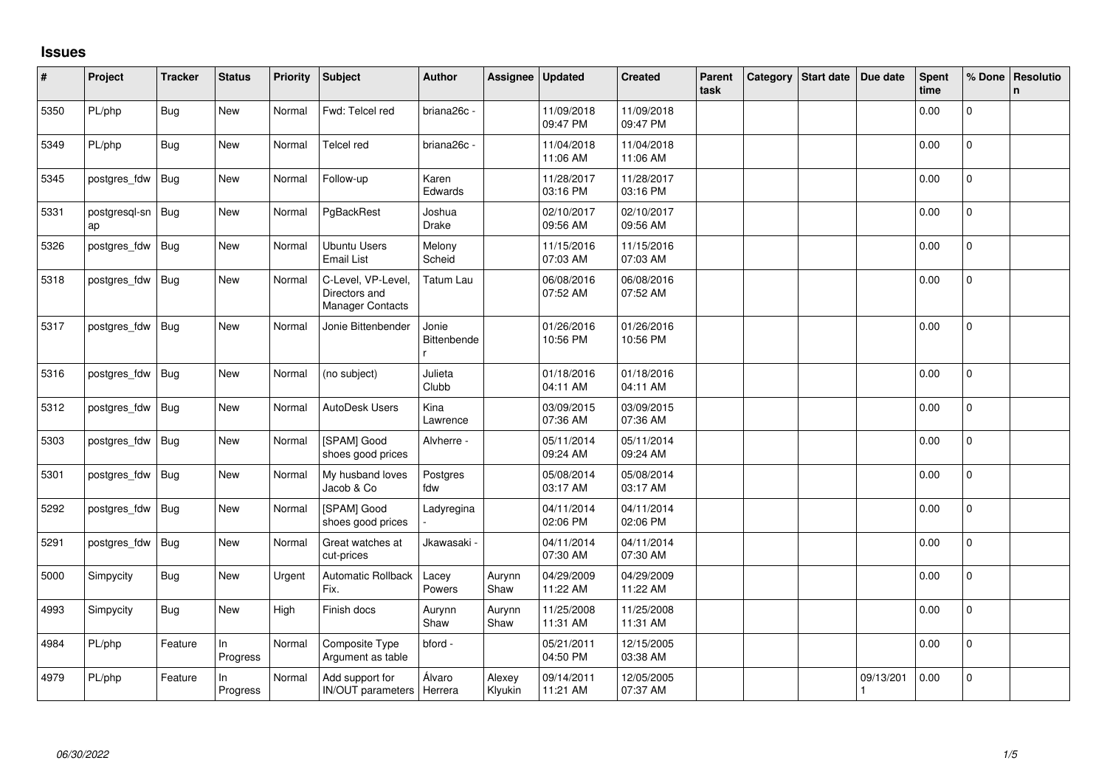## **Issues**

| #    | Project             | <b>Tracker</b> | <b>Status</b>  | <b>Priority</b> | <b>Subject</b>                                                | <b>Author</b>        | Assignee          | <b>Updated</b>         | <b>Created</b>         | Parent<br>task | Category | <b>Start date</b> | Due date  | <b>Spent</b><br>time | % Done         | Resolutio<br>n. |
|------|---------------------|----------------|----------------|-----------------|---------------------------------------------------------------|----------------------|-------------------|------------------------|------------------------|----------------|----------|-------------------|-----------|----------------------|----------------|-----------------|
| 5350 | PL/php              | <b>Bug</b>     | <b>New</b>     | Normal          | Fwd: Telcel red                                               | briana26c -          |                   | 11/09/2018<br>09:47 PM | 11/09/2018<br>09:47 PM |                |          |                   |           | 0.00                 | 0              |                 |
| 5349 | PL/php              | <b>Bug</b>     | New            | Normal          | Telcel red                                                    | briana26c -          |                   | 11/04/2018<br>11:06 AM | 11/04/2018<br>11:06 AM |                |          |                   |           | 0.00                 | $\mathbf 0$    |                 |
| 5345 | postgres_fdw        | <b>Bug</b>     | <b>New</b>     | Normal          | Follow-up                                                     | Karen<br>Edwards     |                   | 11/28/2017<br>03:16 PM | 11/28/2017<br>03:16 PM |                |          |                   |           | 0.00                 | $\overline{0}$ |                 |
| 5331 | postgresgl-sn<br>ap | Bug            | <b>New</b>     | Normal          | PgBackRest                                                    | Joshua<br>Drake      |                   | 02/10/2017<br>09:56 AM | 02/10/2017<br>09:56 AM |                |          |                   |           | 0.00                 | $\overline{0}$ |                 |
| 5326 | postgres_fdw        | <b>Bug</b>     | New            | Normal          | <b>Ubuntu Users</b><br><b>Email List</b>                      | Melony<br>Scheid     |                   | 11/15/2016<br>07:03 AM | 11/15/2016<br>07:03 AM |                |          |                   |           | 0.00                 | $\overline{0}$ |                 |
| 5318 | postgres_fdw        | <b>Bug</b>     | New            | Normal          | C-Level, VP-Level<br>Directors and<br><b>Manager Contacts</b> | Tatum Lau            |                   | 06/08/2016<br>07:52 AM | 06/08/2016<br>07:52 AM |                |          |                   |           | 0.00                 | $\mathsf{O}$   |                 |
| 5317 | postgres_fdw        | Bug            | <b>New</b>     | Normal          | Jonie Bittenbender                                            | Jonie<br>Bittenbende |                   | 01/26/2016<br>10:56 PM | 01/26/2016<br>10:56 PM |                |          |                   |           | 0.00                 | $\mathbf{0}$   |                 |
| 5316 | postgres_fdw        | Bug            | <b>New</b>     | Normal          | (no subject)                                                  | Julieta<br>Clubb     |                   | 01/18/2016<br>04:11 AM | 01/18/2016<br>04:11 AM |                |          |                   |           | 0.00                 | $\mathbf 0$    |                 |
| 5312 | postgres_fdw        | <b>Bug</b>     | New            | Normal          | <b>AutoDesk Users</b>                                         | Kina<br>Lawrence     |                   | 03/09/2015<br>07:36 AM | 03/09/2015<br>07:36 AM |                |          |                   |           | 0.00                 | $\overline{0}$ |                 |
| 5303 | postgres_fdw        | <b>Bug</b>     | <b>New</b>     | Normal          | [SPAM] Good<br>shoes good prices                              | Alvherre -           |                   | 05/11/2014<br>09:24 AM | 05/11/2014<br>09:24 AM |                |          |                   |           | 0.00                 | $\overline{0}$ |                 |
| 5301 | postgres_fdw        | Bug            | <b>New</b>     | Normal          | My husband loves<br>Jacob & Co                                | Postgres<br>fdw      |                   | 05/08/2014<br>03:17 AM | 05/08/2014<br>03:17 AM |                |          |                   |           | 0.00                 | $\mathbf 0$    |                 |
| 5292 | postgres_fdw        | <b>Bug</b>     | New            | Normal          | [SPAM] Good<br>shoes good prices                              | Ladyregina           |                   | 04/11/2014<br>02:06 PM | 04/11/2014<br>02:06 PM |                |          |                   |           | 0.00                 | $\overline{0}$ |                 |
| 5291 | postgres_fdw        | <b>Bug</b>     | New            | Normal          | Great watches at<br>cut-prices                                | Jkawasaki            |                   | 04/11/2014<br>07:30 AM | 04/11/2014<br>07:30 AM |                |          |                   |           | 0.00                 | $\mathbf 0$    |                 |
| 5000 | Simpycity           | <b>Bug</b>     | New            | Urgent          | Automatic Rollback<br>Fix.                                    | Lacey<br>Powers      | Aurynn<br>Shaw    | 04/29/2009<br>11:22 AM | 04/29/2009<br>11:22 AM |                |          |                   |           | 0.00                 | $\overline{0}$ |                 |
| 4993 | Simpycity           | <b>Bug</b>     | New            | High            | Finish docs                                                   | Aurynn<br>Shaw       | Aurynn<br>Shaw    | 11/25/2008<br>11:31 AM | 11/25/2008<br>11:31 AM |                |          |                   |           | 0.00                 | $\overline{0}$ |                 |
| 4984 | PL/php              | Feature        | In<br>Progress | Normal          | Composite Type<br>Argument as table                           | bford -              |                   | 05/21/2011<br>04:50 PM | 12/15/2005<br>03:38 AM |                |          |                   |           | 0.00                 | $\overline{0}$ |                 |
| 4979 | PL/php              | Feature        | In<br>Progress | Normal          | Add support for<br>IN/OUT parameters   Herrera                | Álvaro               | Alexey<br>Klyukin | 09/14/2011<br>11:21 AM | 12/05/2005<br>07:37 AM |                |          |                   | 09/13/201 | 0.00                 | 0              |                 |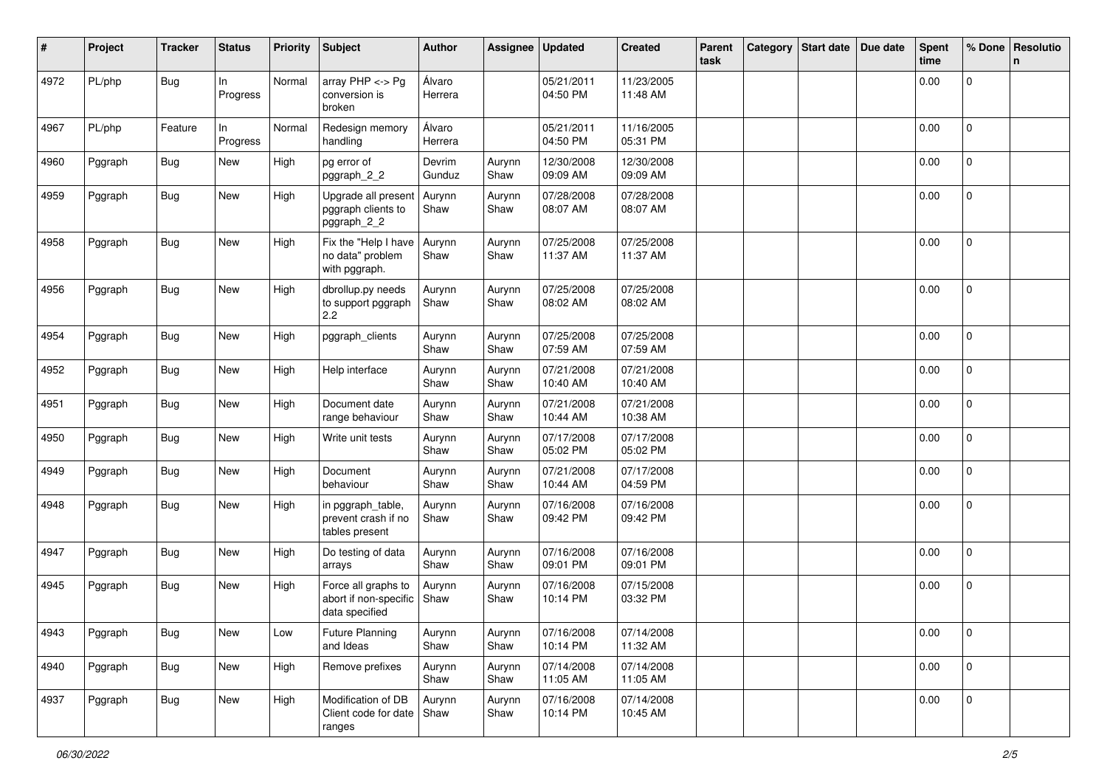| #    | Project | <b>Tracker</b> | <b>Status</b>   | <b>Priority</b> | <b>Subject</b>                                                 | <b>Author</b>     | Assignee       | <b>Updated</b>         | <b>Created</b>         | Parent<br>task | Category | Start date   Due date | <b>Spent</b><br>time | % Done              | Resolutio<br>n. |
|------|---------|----------------|-----------------|-----------------|----------------------------------------------------------------|-------------------|----------------|------------------------|------------------------|----------------|----------|-----------------------|----------------------|---------------------|-----------------|
| 4972 | PL/php  | <b>Bug</b>     | In.<br>Progress | Normal          | array $PHP \lt\gt Pg$<br>conversion is<br>broken               | Álvaro<br>Herrera |                | 05/21/2011<br>04:50 PM | 11/23/2005<br>11:48 AM |                |          |                       | 0.00                 | $\mathbf 0$         |                 |
| 4967 | PL/php  | Feature        | In<br>Progress  | Normal          | Redesign memory<br>handling                                    | Álvaro<br>Herrera |                | 05/21/2011<br>04:50 PM | 11/16/2005<br>05:31 PM |                |          |                       | 0.00                 | $\mathbf 0$         |                 |
| 4960 | Pggraph | <b>Bug</b>     | New             | High            | pg error of<br>pggraph_2_2                                     | Devrim<br>Gunduz  | Aurynn<br>Shaw | 12/30/2008<br>09:09 AM | 12/30/2008<br>09:09 AM |                |          |                       | 0.00                 | $\mathbf 0$         |                 |
| 4959 | Pggraph | Bug            | New             | High            | Upgrade all present<br>pggraph clients to<br>pggraph_2_2       | Aurynn<br>Shaw    | Aurynn<br>Shaw | 07/28/2008<br>08:07 AM | 07/28/2008<br>08:07 AM |                |          |                       | 0.00                 | 0                   |                 |
| 4958 | Pggraph | <b>Bug</b>     | New             | High            | Fix the "Help I have<br>no data" problem<br>with pggraph.      | Aurynn<br>Shaw    | Aurynn<br>Shaw | 07/25/2008<br>11:37 AM | 07/25/2008<br>11:37 AM |                |          |                       | 0.00                 | $\overline{0}$      |                 |
| 4956 | Pggraph | <b>Bug</b>     | New             | High            | dbrollup.py needs<br>to support pggraph<br>2.2                 | Aurynn<br>Shaw    | Aurynn<br>Shaw | 07/25/2008<br>08:02 AM | 07/25/2008<br>08:02 AM |                |          |                       | 0.00                 | $\overline{0}$      |                 |
| 4954 | Pggraph | Bug            | New             | High            | pggraph_clients                                                | Aurynn<br>Shaw    | Aurynn<br>Shaw | 07/25/2008<br>07:59 AM | 07/25/2008<br>07:59 AM |                |          |                       | 0.00                 | $\overline{0}$      |                 |
| 4952 | Pggraph | <b>Bug</b>     | New             | High            | Help interface                                                 | Aurynn<br>Shaw    | Aurynn<br>Shaw | 07/21/2008<br>10:40 AM | 07/21/2008<br>10:40 AM |                |          |                       | 0.00                 | $\mathbf 0$         |                 |
| 4951 | Pggraph | <b>Bug</b>     | New             | High            | Document date<br>range behaviour                               | Aurynn<br>Shaw    | Aurynn<br>Shaw | 07/21/2008<br>10:44 AM | 07/21/2008<br>10:38 AM |                |          |                       | 0.00                 | $\mathbf 0$         |                 |
| 4950 | Pggraph | <b>Bug</b>     | New             | High            | Write unit tests                                               | Aurynn<br>Shaw    | Aurynn<br>Shaw | 07/17/2008<br>05:02 PM | 07/17/2008<br>05:02 PM |                |          |                       | 0.00                 | $\mathbf{0}$        |                 |
| 4949 | Pggraph | Bug            | New             | High            | Document<br>behaviour                                          | Aurynn<br>Shaw    | Aurynn<br>Shaw | 07/21/2008<br>10:44 AM | 07/17/2008<br>04:59 PM |                |          |                       | 0.00                 | $\overline{0}$      |                 |
| 4948 | Pggraph | Bug            | New             | High            | in pggraph_table,<br>prevent crash if no<br>tables present     | Aurynn<br>Shaw    | Aurynn<br>Shaw | 07/16/2008<br>09:42 PM | 07/16/2008<br>09:42 PM |                |          |                       | 0.00                 | $\mathbf 0$         |                 |
| 4947 | Pggraph | <b>Bug</b>     | New             | High            | Do testing of data<br>arrays                                   | Aurynn<br>Shaw    | Aurynn<br>Shaw | 07/16/2008<br>09:01 PM | 07/16/2008<br>09:01 PM |                |          |                       | 0.00                 | $\mathbf 0$         |                 |
| 4945 | Pggraph | <b>Bug</b>     | New             | High            | Force all graphs to<br>abort if non-specific<br>data specified | Aurynn<br>Shaw    | Aurynn<br>Shaw | 07/16/2008<br>10:14 PM | 07/15/2008<br>03:32 PM |                |          |                       | 0.00                 | $\mathbf 0$         |                 |
| 4943 | Pggraph | Bug            | New             | Low             | <b>Future Planning</b><br>and Ideas                            | Aurynn<br>Shaw    | Aurynn<br>Shaw | 07/16/2008<br>10:14 PM | 07/14/2008<br>11:32 AM |                |          |                       | 0.00                 | $\overline{0}$      |                 |
| 4940 | Pggraph | Bug            | New             | High            | Remove prefixes                                                | Aurynn<br>Shaw    | Aurynn<br>Shaw | 07/14/2008<br>11:05 AM | 07/14/2008<br>11:05 AM |                |          |                       | 0.00                 | $\mathbf 0$         |                 |
| 4937 | Pggraph | Bug            | New             | High            | Modification of DB<br>Client code for date   Shaw<br>ranges    | Aurynn            | Aurynn<br>Shaw | 07/16/2008<br>10:14 PM | 07/14/2008<br>10:45 AM |                |          |                       | 0.00                 | $\mathsf{O}\xspace$ |                 |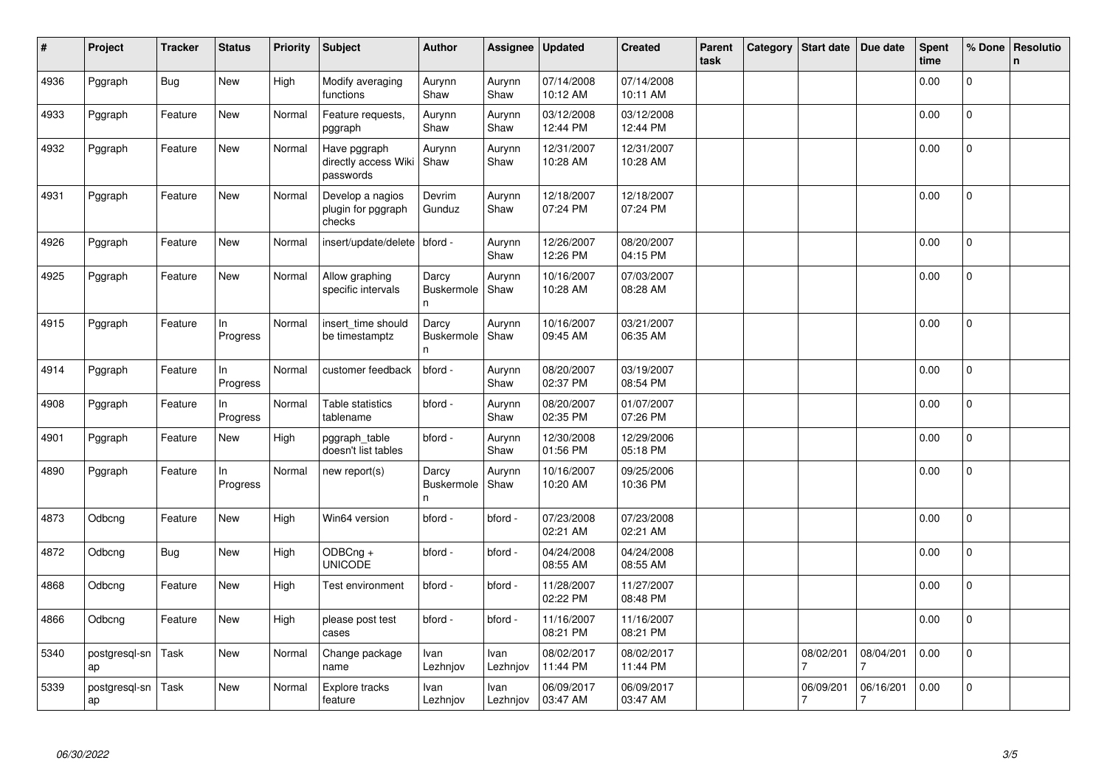| #    | Project             | <b>Tracker</b> | Status          | <b>Priority</b> | <b>Subject</b>                                         | <b>Author</b>             | Assignee         | <b>Updated</b>         | <b>Created</b>         | Parent<br>task | Category | Start date     | Due date                    | <b>Spent</b><br>time | % Done         | Resolutio<br>$\mathbf n$ |
|------|---------------------|----------------|-----------------|-----------------|--------------------------------------------------------|---------------------------|------------------|------------------------|------------------------|----------------|----------|----------------|-----------------------------|----------------------|----------------|--------------------------|
| 4936 | Pggraph             | Bug            | New             | High            | Modify averaging<br>functions                          | Aurynn<br>Shaw            | Aurynn<br>Shaw   | 07/14/2008<br>10:12 AM | 07/14/2008<br>10:11 AM |                |          |                |                             | 0.00                 | $\overline{0}$ |                          |
| 4933 | Pggraph             | Feature        | New             | Normal          | Feature requests,<br>pggraph                           | Aurynn<br>Shaw            | Aurynn<br>Shaw   | 03/12/2008<br>12:44 PM | 03/12/2008<br>12:44 PM |                |          |                |                             | 0.00                 | $\pmb{0}$      |                          |
| 4932 | Pggraph             | Feature        | New             | Normal          | Have pggraph<br>directly access Wiki Shaw<br>passwords | Aurynn                    | Aurynn<br>Shaw   | 12/31/2007<br>10:28 AM | 12/31/2007<br>10:28 AM |                |          |                |                             | 0.00                 | 0              |                          |
| 4931 | Pggraph             | Feature        | New             | Normal          | Develop a nagios<br>plugin for pggraph<br>checks       | Devrim<br>Gunduz          | Aurynn<br>Shaw   | 12/18/2007<br>07:24 PM | 12/18/2007<br>07:24 PM |                |          |                |                             | 0.00                 | $\pmb{0}$      |                          |
| 4926 | Pggraph             | Feature        | New             | Normal          | insert/update/delete                                   | bford -                   | Aurynn<br>Shaw   | 12/26/2007<br>12:26 PM | 08/20/2007<br>04:15 PM |                |          |                |                             | 0.00                 | $\Omega$       |                          |
| 4925 | Pggraph             | Feature        | New             | Normal          | Allow graphing<br>specific intervals                   | Darcy<br>Buskermole<br>n. | Aurynn<br>Shaw   | 10/16/2007<br>10:28 AM | 07/03/2007<br>08:28 AM |                |          |                |                             | 0.00                 | $\overline{0}$ |                          |
| 4915 | Pggraph             | Feature        | In<br>Progress  | Normal          | insert time should<br>be timestamptz                   | Darcy<br>Buskermole<br>n  | Aurynn<br>Shaw   | 10/16/2007<br>09:45 AM | 03/21/2007<br>06:35 AM |                |          |                |                             | 0.00                 | $\mathbf 0$    |                          |
| 4914 | Pggraph             | Feature        | ln.<br>Progress | Normal          | customer feedback                                      | bford -                   | Aurynn<br>Shaw   | 08/20/2007<br>02:37 PM | 03/19/2007<br>08:54 PM |                |          |                |                             | 0.00                 | $\Omega$       |                          |
| 4908 | Pggraph             | Feature        | In<br>Progress  | Normal          | Table statistics<br>tablename                          | bford -                   | Aurynn<br>Shaw   | 08/20/2007<br>02:35 PM | 01/07/2007<br>07:26 PM |                |          |                |                             | 0.00                 | $\pmb{0}$      |                          |
| 4901 | Pggraph             | Feature        | New             | High            | pggraph_table<br>doesn't list tables                   | bford -                   | Aurynn<br>Shaw   | 12/30/2008<br>01:56 PM | 12/29/2006<br>05:18 PM |                |          |                |                             | 0.00                 | $\mathbf{0}$   |                          |
| 4890 | Pggraph             | Feature        | In<br>Progress  | Normal          | new report(s)                                          | Darcy<br>Buskermole<br>n. | Aurynn<br>Shaw   | 10/16/2007<br>10:20 AM | 09/25/2006<br>10:36 PM |                |          |                |                             | 0.00                 | 0              |                          |
| 4873 | Odbcng              | Feature        | New             | High            | Win64 version                                          | bford -                   | bford -          | 07/23/2008<br>02:21 AM | 07/23/2008<br>02:21 AM |                |          |                |                             | 0.00                 | $\mathbf 0$    |                          |
| 4872 | Odbcng              | <b>Bug</b>     | New             | High            | ODBCng +<br><b>UNICODE</b>                             | bford -                   | bford -          | 04/24/2008<br>08:55 AM | 04/24/2008<br>08:55 AM |                |          |                |                             | 0.00                 | 0              |                          |
| 4868 | Odbcng              | Feature        | New             | High            | Test environment                                       | bford -                   | bford -          | 11/28/2007<br>02:22 PM | 11/27/2007<br>08:48 PM |                |          |                |                             | 0.00                 | $\Omega$       |                          |
| 4866 | Odbcng              | Feature        | New             | High            | please post test<br>cases                              | bford -                   | bford -          | 11/16/2007<br>08:21 PM | 11/16/2007<br>08:21 PM |                |          |                |                             | 0.00                 | $\mathbf 0$    |                          |
| 5340 | postgresql-sn<br>ap | Task           | New             | Normal          | Change package<br>name                                 | Ivan<br>Lezhnjov          | Ivan<br>Lezhnjov | 08/02/2017<br>11:44 PM | 08/02/2017<br>11:44 PM |                |          | 08/02/201      | 08/04/201<br>7              | 0.00                 | $\mathbf 0$    |                          |
| 5339 | postgresql-sn<br>ap | Task           | New             | Normal          | Explore tracks<br>feature                              | Ivan<br>Lezhnjov          | Ivan<br>Lezhnjov | 06/09/2017<br>03:47 AM | 06/09/2017<br>03:47 AM |                |          | 06/09/201<br>7 | 06/16/201<br>$\overline{7}$ | 0.00                 | $\overline{0}$ |                          |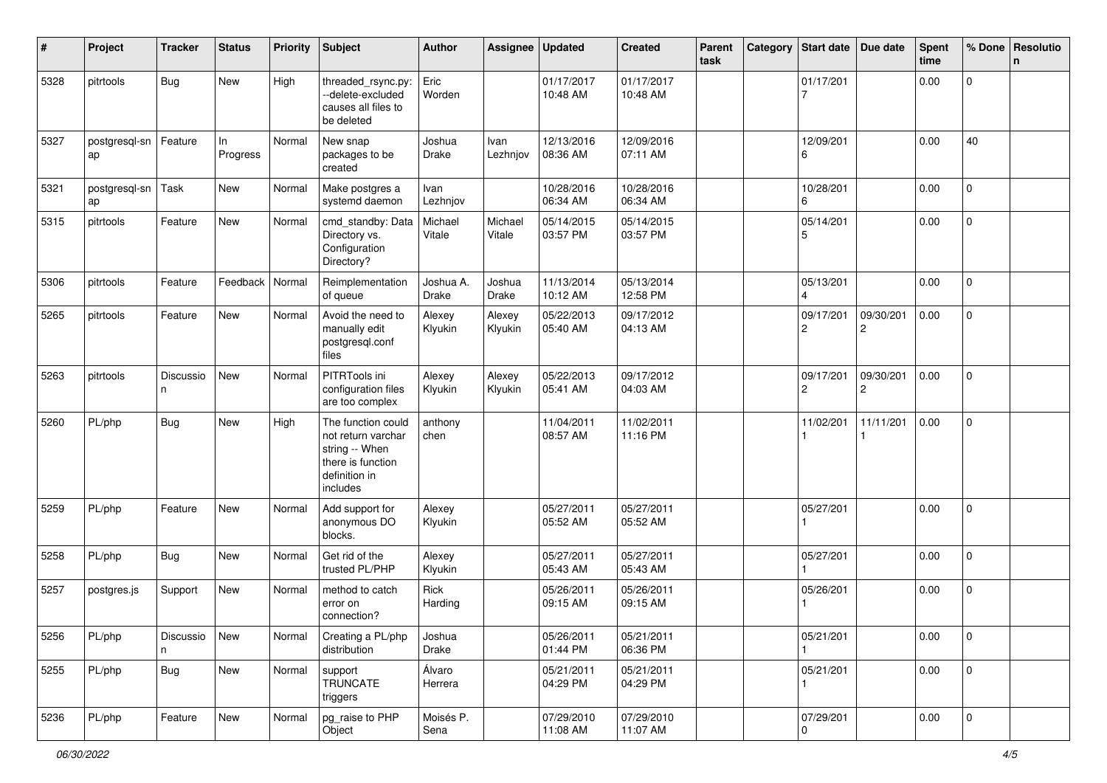| ∦    | Project             | <b>Tracker</b> | <b>Status</b>     | <b>Priority</b> | <b>Subject</b>                                                                                               | <b>Author</b>             | Assignee          | <b>Updated</b>         | <b>Created</b>         | Parent<br>task | Category | <b>Start date</b>           | Due date       | <b>Spent</b><br>time | % Done              | Resolutio<br>n |
|------|---------------------|----------------|-------------------|-----------------|--------------------------------------------------------------------------------------------------------------|---------------------------|-------------------|------------------------|------------------------|----------------|----------|-----------------------------|----------------|----------------------|---------------------|----------------|
| 5328 | pitrtools           | <b>Bug</b>     | New               | High            | threaded_rsync.py:<br>--delete-excluded<br>causes all files to<br>be deleted                                 | Eric<br>Worden            |                   | 01/17/2017<br>10:48 AM | 01/17/2017<br>10:48 AM |                |          | 01/17/201                   |                | 0.00                 | $\overline{0}$      |                |
| 5327 | postgresql-sn<br>ap | Feature        | In<br>Progress    | Normal          | New snap<br>packages to be<br>created                                                                        | Joshua<br>Drake           | Ivan<br>Lezhnjov  | 12/13/2016<br>08:36 AM | 12/09/2016<br>07:11 AM |                |          | 12/09/201<br>6              |                | 0.00                 | 40                  |                |
| 5321 | postgresql-sn<br>ap | Task           | <b>New</b>        | Normal          | Make postgres a<br>systemd daemon                                                                            | Ivan<br>Lezhnjov          |                   | 10/28/2016<br>06:34 AM | 10/28/2016<br>06:34 AM |                |          | 10/28/201<br>6              |                | 0.00                 | $\overline{0}$      |                |
| 5315 | pitrtools           | Feature        | New               | Normal          | cmd standby: Data<br>Directory vs.<br>Configuration<br>Directory?                                            | Michael<br>Vitale         | Michael<br>Vitale | 05/14/2015<br>03:57 PM | 05/14/2015<br>03:57 PM |                |          | 05/14/201<br>5              |                | 0.00                 | $\overline{0}$      |                |
| 5306 | pitrtools           | Feature        | Feedback   Normal |                 | Reimplementation<br>of queue                                                                                 | Joshua A.<br><b>Drake</b> | Joshua<br>Drake   | 11/13/2014<br>10:12 AM | 05/13/2014<br>12:58 PM |                |          | 05/13/201                   |                | 0.00                 | $\overline{0}$      |                |
| 5265 | pitrtools           | Feature        | New               | Normal          | Avoid the need to<br>manually edit<br>postgresql.conf<br>files                                               | Alexey<br>Klyukin         | Alexey<br>Klyukin | 05/22/2013<br>05:40 AM | 09/17/2012<br>04:13 AM |                |          | 09/17/201<br>$\overline{c}$ | 09/30/201<br>2 | 0.00                 | $\mathbf{0}$        |                |
| 5263 | pitrtools           | Discussio<br>n | New               | Normal          | PITRTools ini<br>configuration files<br>are too complex                                                      | Alexey<br>Klyukin         | Alexey<br>Klyukin | 05/22/2013<br>05:41 AM | 09/17/2012<br>04:03 AM |                |          | 09/17/201<br>$\overline{c}$ | 09/30/201<br>2 | 0.00                 | $\Omega$            |                |
| 5260 | PL/php              | <b>Bug</b>     | <b>New</b>        | High            | The function could<br>not return varchar<br>string -- When<br>there is function<br>definition in<br>includes | anthony<br>chen           |                   | 11/04/2011<br>08:57 AM | 11/02/2011<br>11:16 PM |                |          | 11/02/201                   | 11/11/201      | 0.00                 | 0                   |                |
| 5259 | PL/php              | Feature        | New               | Normal          | Add support for<br>anonymous DO<br>blocks.                                                                   | Alexey<br>Klyukin         |                   | 05/27/2011<br>05:52 AM | 05/27/2011<br>05:52 AM |                |          | 05/27/201                   |                | 0.00                 | $\mathbf{0}$        |                |
| 5258 | PL/php              | Bug            | New               | Normal          | Get rid of the<br>trusted PL/PHP                                                                             | Alexey<br>Klyukin         |                   | 05/27/2011<br>05:43 AM | 05/27/2011<br>05:43 AM |                |          | 05/27/201                   |                | 0.00                 | $\mathbf 0$         |                |
| 5257 | postgres.js         | Support        | New               | Normal          | method to catch<br>error on<br>connection?                                                                   | Rick<br>Harding           |                   | 05/26/2011<br>09:15 AM | 05/26/2011<br>09:15 AM |                |          | 05/26/201                   |                | 0.00                 | 0                   |                |
| 5256 | PL/php              | Discussio<br>n | New               | Normal          | Creating a PL/php<br>distribution                                                                            | Joshua<br>Drake           |                   | 05/26/2011<br>01:44 PM | 05/21/2011<br>06:36 PM |                |          | 05/21/201                   |                | 0.00                 | $\mathbf 0$         |                |
| 5255 | PL/php              | Bug            | New               | Normal          | support<br><b>TRUNCATE</b><br>triggers                                                                       | Álvaro<br>Herrera         |                   | 05/21/2011<br>04:29 PM | 05/21/2011<br>04:29 PM |                |          | 05/21/201                   |                | 0.00                 | $\mathsf 0$         |                |
| 5236 | PL/php              | Feature        | New               | Normal          | pg_raise to PHP<br>Object                                                                                    | Moisés P.<br>Sena         |                   | 07/29/2010<br>11:08 AM | 07/29/2010<br>11:07 AM |                |          | 07/29/201<br>0              |                | 0.00                 | $\mathsf{O}\xspace$ |                |